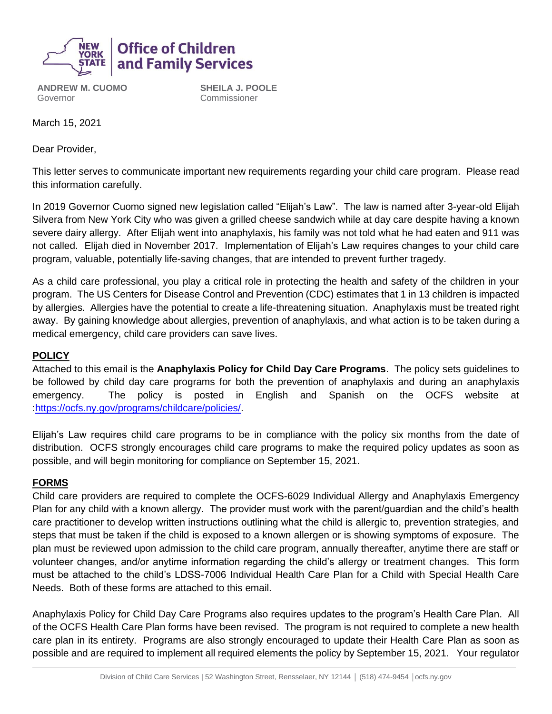

**ANDREW M. CUOMO** Governor

**SHEILA J. POOLE** Commissioner

March 15, 2021

Dear Provider,

This letter serves to communicate important new requirements regarding your child care program. Please read this information carefully.

In 2019 Governor Cuomo signed new legislation called "Elijah's Law". The law is named after 3-year-old Elijah Silvera from New York City who was given a grilled cheese sandwich while at day care despite having a known severe dairy allergy. After Elijah went into anaphylaxis, his family was not told what he had eaten and 911 was not called. Elijah died in November 2017. Implementation of Elijah's Law requires changes to your child care program, valuable, potentially life-saving changes, that are intended to prevent further tragedy.

As a child care professional, you play a critical role in protecting the health and safety of the children in your program. The US Centers for Disease Control and Prevention (CDC) estimates that 1 in 13 children is impacted by allergies. Allergies have the potential to create a life-threatening situation. Anaphylaxis must be treated right away. By gaining knowledge about allergies, prevention of anaphylaxis, and what action is to be taken during a medical emergency, child care providers can save lives.

#### **POLICY**

Attached to this email is the **Anaphylaxis Policy for Child Day Care Programs**. The policy sets guidelines to be followed by child day care programs for both the prevention of anaphylaxis and during an anaphylaxis emergency. The policy is posted in English and Spanish on the OCFS website at :https://ocfs.ny.gov/programs/childcare/policies/.

Elijah's Law requires child care programs to be in compliance with the policy six months from the date of distribution. OCFS strongly encourages child care programs to make the required policy updates as soon as possible, and will begin monitoring for compliance on September 15, 2021.

#### **FORMS**

Child care providers are required to complete the OCFS-6029 Individual Allergy and Anaphylaxis Emergency Plan for any child with a known allergy.The provider must work with the parent/guardian and the child's health care practitioner to develop written instructions outlining what the child is allergic to, prevention strategies, and steps that must be taken if the child is exposed to a known allergen or is showing symptoms of exposure. The plan must be reviewed upon admission to the child care program, annually thereafter, anytime there are staff or volunteer changes, and/or anytime information regarding the child's allergy or treatment changes. This form must be attached to the child's LDSS-7006 Individual Health Care Plan for a Child with Special Health Care Needs. Both of these forms are attached to this email.

Anaphylaxis Policy for Child Day Care Programs also requires updates to the program's Health Care Plan. All of the OCFS Health Care Plan forms have been revised. The program is not required to complete a new health care plan in its entirety. Programs are also strongly encouraged to update their Health Care Plan as soon as possible and are required to implement all required elements the policy by September 15, 2021. Your regulator